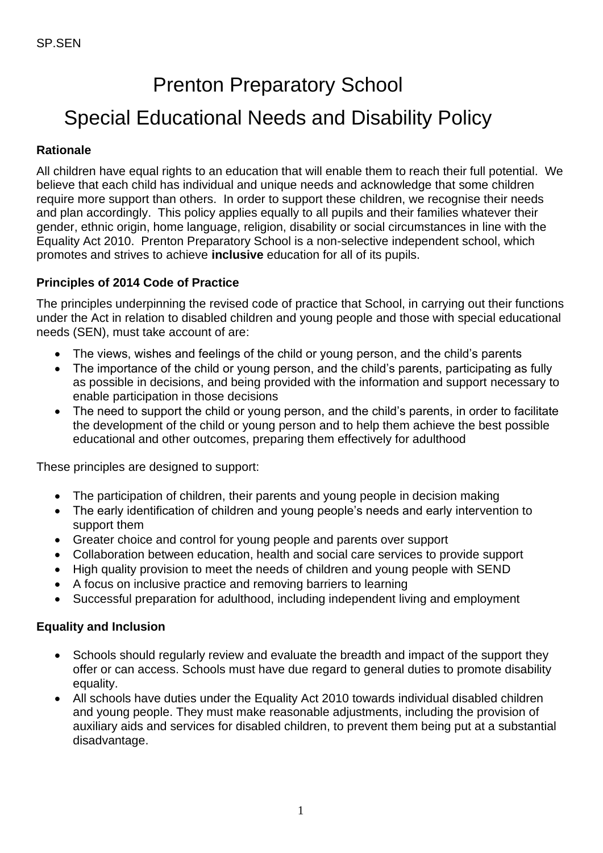# Prenton Preparatory School Special Educational Needs and Disability Policy

# **Rationale**

All children have equal rights to an education that will enable them to reach their full potential. We believe that each child has individual and unique needs and acknowledge that some children require more support than others. In order to support these children, we recognise their needs and plan accordingly. This policy applies equally to all pupils and their families whatever their gender, ethnic origin, home language, religion, disability or social circumstances in line with the Equality Act 2010. Prenton Preparatory School is a non-selective independent school, which promotes and strives to achieve **inclusive** education for all of its pupils.

# **Principles of 2014 Code of Practice**

The principles underpinning the revised code of practice that School, in carrying out their functions under the Act in relation to disabled children and young people and those with special educational needs (SEN), must take account of are:

- The views, wishes and feelings of the child or young person, and the child's parents
- The importance of the child or young person, and the child's parents, participating as fully as possible in decisions, and being provided with the information and support necessary to enable participation in those decisions
- The need to support the child or young person, and the child's parents, in order to facilitate the development of the child or young person and to help them achieve the best possible educational and other outcomes, preparing them effectively for adulthood

These principles are designed to support:

- The participation of children, their parents and young people in decision making
- The early identification of children and young people's needs and early intervention to support them
- Greater choice and control for young people and parents over support
- Collaboration between education, health and social care services to provide support
- High quality provision to meet the needs of children and young people with SEND
- A focus on inclusive practice and removing barriers to learning
- Successful preparation for adulthood, including independent living and employment

# **Equality and Inclusion**

- Schools should regularly review and evaluate the breadth and impact of the support they offer or can access. Schools must have due regard to general duties to promote disability equality.
- All schools have duties under the Equality Act 2010 towards individual disabled children and young people. They must make reasonable adjustments, including the provision of auxiliary aids and services for disabled children, to prevent them being put at a substantial disadvantage.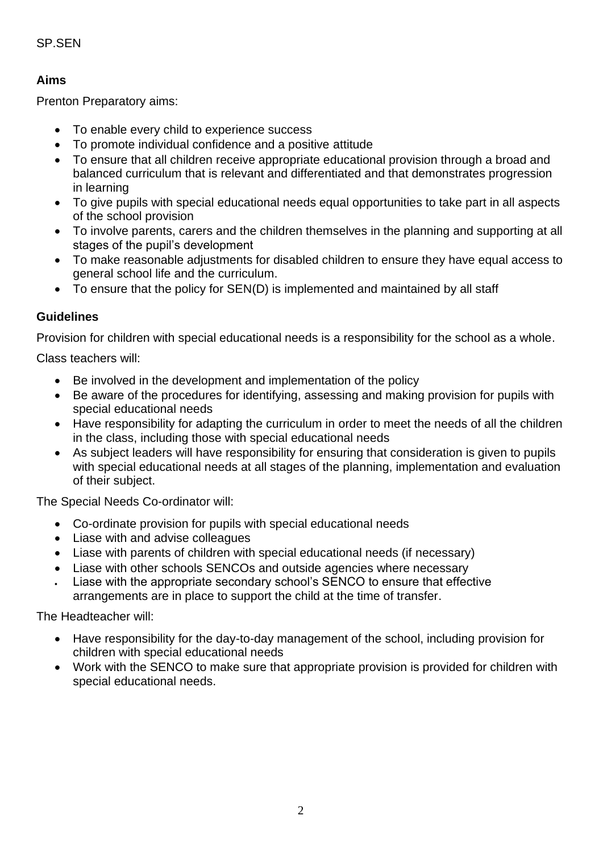# SP.SEN

# **Aims**

Prenton Preparatory aims:

- To enable every child to experience success
- To promote individual confidence and a positive attitude
- To ensure that all children receive appropriate educational provision through a broad and balanced curriculum that is relevant and differentiated and that demonstrates progression in learning
- To give pupils with special educational needs equal opportunities to take part in all aspects of the school provision
- To involve parents, carers and the children themselves in the planning and supporting at all stages of the pupil's development
- To make reasonable adjustments for disabled children to ensure they have equal access to general school life and the curriculum.
- To ensure that the policy for SEN(D) is implemented and maintained by all staff

#### **Guidelines**

Provision for children with special educational needs is a responsibility for the school as a whole.

Class teachers will:

- Be involved in the development and implementation of the policy
- Be aware of the procedures for identifying, assessing and making provision for pupils with special educational needs
- Have responsibility for adapting the curriculum in order to meet the needs of all the children in the class, including those with special educational needs
- As subject leaders will have responsibility for ensuring that consideration is given to pupils with special educational needs at all stages of the planning, implementation and evaluation of their subject.

The Special Needs Co-ordinator will:

- Co-ordinate provision for pupils with special educational needs
- Liase with and advise colleagues
- Liase with parents of children with special educational needs (if necessary)
- Liase with other schools SENCOs and outside agencies where necessary
- Liase with the appropriate secondary school's SENCO to ensure that effective arrangements are in place to support the child at the time of transfer.

The Headteacher will:

- Have responsibility for the day-to-day management of the school, including provision for children with special educational needs
- Work with the SENCO to make sure that appropriate provision is provided for children with special educational needs.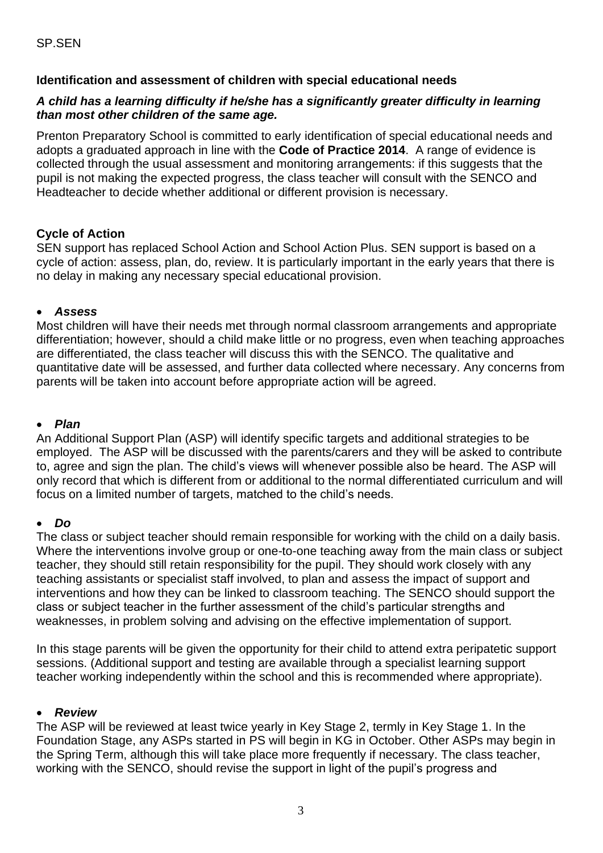# **Identification and assessment of children with special educational needs**

#### *A child has a learning difficulty if he/she has a significantly greater difficulty in learning than most other children of the same age.*

Prenton Preparatory School is committed to early identification of special educational needs and adopts a graduated approach in line with the **Code of Practice 2014**. A range of evidence is collected through the usual assessment and monitoring arrangements: if this suggests that the pupil is not making the expected progress, the class teacher will consult with the SENCO and Headteacher to decide whether additional or different provision is necessary.

## **Cycle of Action**

SEN support has replaced School Action and School Action Plus. SEN support is based on a cycle of action: assess, plan, do, review. It is particularly important in the early years that there is no delay in making any necessary special educational provision.

## • *Assess*

Most children will have their needs met through normal classroom arrangements and appropriate differentiation; however, should a child make little or no progress, even when teaching approaches are differentiated, the class teacher will discuss this with the SENCO. The qualitative and quantitative date will be assessed, and further data collected where necessary. Any concerns from parents will be taken into account before appropriate action will be agreed.

#### • *Plan*

An Additional Support Plan (ASP) will identify specific targets and additional strategies to be employed. The ASP will be discussed with the parents/carers and they will be asked to contribute to, agree and sign the plan. The child's views will whenever possible also be heard. The ASP will only record that which is different from or additional to the normal differentiated curriculum and will focus on a limited number of targets, matched to the child's needs.

#### • *Do*

The class or subject teacher should remain responsible for working with the child on a daily basis. Where the interventions involve group or one-to-one teaching away from the main class or subject teacher, they should still retain responsibility for the pupil. They should work closely with any teaching assistants or specialist staff involved, to plan and assess the impact of support and interventions and how they can be linked to classroom teaching. The SENCO should support the class or subject teacher in the further assessment of the child's particular strengths and weaknesses, in problem solving and advising on the effective implementation of support.

In this stage parents will be given the opportunity for their child to attend extra peripatetic support sessions. (Additional support and testing are available through a specialist learning support teacher working independently within the school and this is recommended where appropriate).

#### • *Review*

The ASP will be reviewed at least twice yearly in Key Stage 2, termly in Key Stage 1. In the Foundation Stage, any ASPs started in PS will begin in KG in October. Other ASPs may begin in the Spring Term, although this will take place more frequently if necessary. The class teacher, working with the SENCO, should revise the support in light of the pupil's progress and